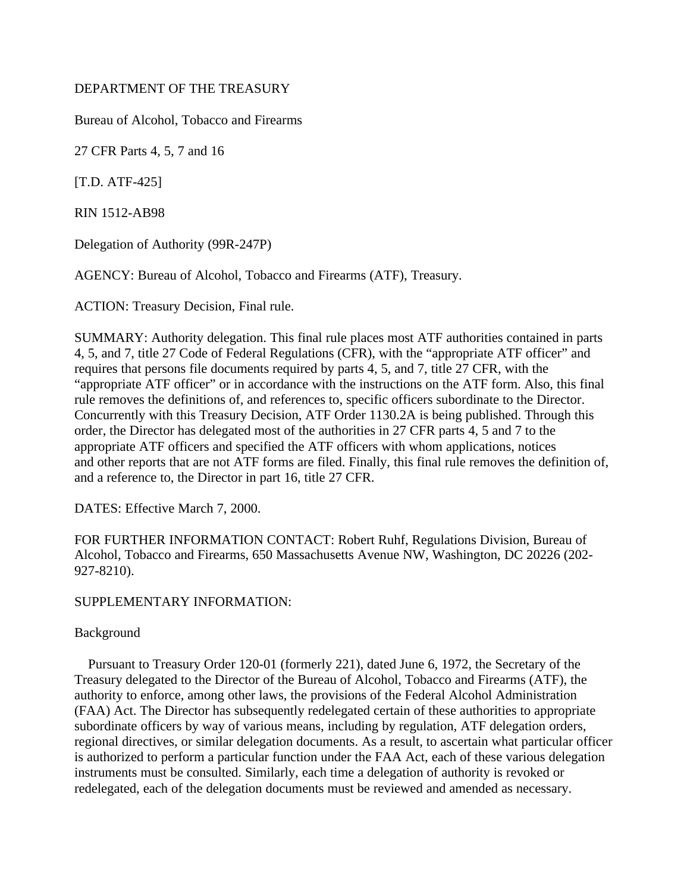## DEPARTMENT OF THE TREASURY

Bureau of Alcohol, Tobacco and Firearms

27 CFR Parts 4, 5, 7 and 16

[T.D. ATF-425]

RIN 1512-AB98

Delegation of Authority (99R-247P)

AGENCY: Bureau of Alcohol, Tobacco and Firearms (ATF), Treasury.

ACTION: Treasury Decision, Final rule.

SUMMARY: Authority delegation. This final rule places most ATF authorities contained in parts 4, 5, and 7, title 27 Code of Federal Regulations (CFR), with the "appropriate ATF officer" and requires that persons file documents required by parts 4, 5, and 7, title 27 CFR, with the "appropriate ATF officer" or in accordance with the instructions on the ATF form. Also, this final rule removes the definitions of, and references to, specific officers subordinate to the Director. Concurrently with this Treasury Decision, ATF Order 1130.2A is being published. Through this order, the Director has delegated most of the authorities in 27 CFR parts 4, 5 and 7 to the appropriate ATF officers and specified the ATF officers with whom applications, notices and other reports that are not ATF forms are filed. Finally, this final rule removes the definition of, and a reference to, the Director in part 16, title 27 CFR.

DATES: Effective March 7, 2000.

FOR FURTHER INFORMATION CONTACT: Robert Ruhf, Regulations Division, Bureau of Alcohol, Tobacco and Firearms, 650 Massachusetts Avenue NW, Washington, DC 20226 (202- 927-8210).

# SUPPLEMENTARY INFORMATION:

# Background

 Pursuant to Treasury Order 120-01 (formerly 221), dated June 6, 1972, the Secretary of the Treasury delegated to the Director of the Bureau of Alcohol, Tobacco and Firearms (ATF), the authority to enforce, among other laws, the provisions of the Federal Alcohol Administration (FAA) Act. The Director has subsequently redelegated certain of these authorities to appropriate subordinate officers by way of various means, including by regulation, ATF delegation orders, regional directives, or similar delegation documents. As a result, to ascertain what particular officer is authorized to perform a particular function under the FAA Act, each of these various delegation instruments must be consulted. Similarly, each time a delegation of authority is revoked or redelegated, each of the delegation documents must be reviewed and amended as necessary.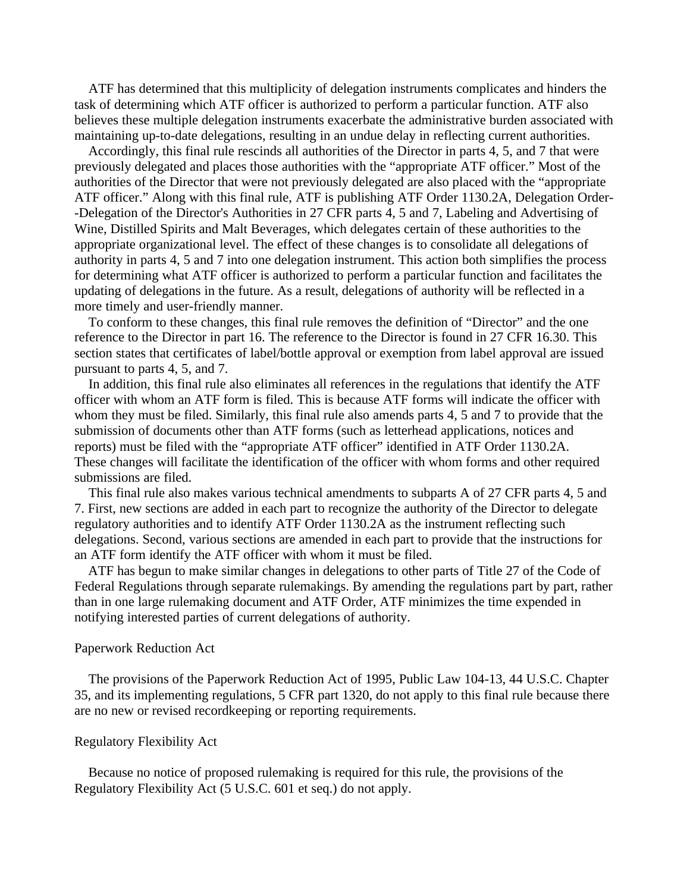ATF has determined that this multiplicity of delegation instruments complicates and hinders the task of determining which ATF officer is authorized to perform a particular function. ATF also believes these multiple delegation instruments exacerbate the administrative burden associated with maintaining up-to-date delegations, resulting in an undue delay in reflecting current authorities.

 Accordingly, this final rule rescinds all authorities of the Director in parts 4, 5, and 7 that were previously delegated and places those authorities with the "appropriate ATF officer." Most of the authorities of the Director that were not previously delegated are also placed with the "appropriate ATF officer." Along with this final rule, ATF is publishing ATF Order 1130.2A, Delegation Order- -Delegation of the Director's Authorities in 27 CFR parts 4, 5 and 7, Labeling and Advertising of Wine, Distilled Spirits and Malt Beverages, which delegates certain of these authorities to the appropriate organizational level. The effect of these changes is to consolidate all delegations of authority in parts 4, 5 and 7 into one delegation instrument. This action both simplifies the process for determining what ATF officer is authorized to perform a particular function and facilitates the updating of delegations in the future. As a result, delegations of authority will be reflected in a more timely and user-friendly manner.

 To conform to these changes, this final rule removes the definition of "Director" and the one reference to the Director in part 16. The reference to the Director is found in 27 CFR 16.30. This section states that certificates of label/bottle approval or exemption from label approval are issued pursuant to parts 4, 5, and 7.

 In addition, this final rule also eliminates all references in the regulations that identify the ATF officer with whom an ATF form is filed. This is because ATF forms will indicate the officer with whom they must be filed. Similarly, this final rule also amends parts 4, 5 and 7 to provide that the submission of documents other than ATF forms (such as letterhead applications, notices and reports) must be filed with the "appropriate ATF officer" identified in ATF Order 1130.2A. These changes will facilitate the identification of the officer with whom forms and other required submissions are filed.

 This final rule also makes various technical amendments to subparts A of 27 CFR parts 4, 5 and 7. First, new sections are added in each part to recognize the authority of the Director to delegate regulatory authorities and to identify ATF Order 1130.2A as the instrument reflecting such delegations. Second, various sections are amended in each part to provide that the instructions for an ATF form identify the ATF officer with whom it must be filed.

 ATF has begun to make similar changes in delegations to other parts of Title 27 of the Code of Federal Regulations through separate rulemakings. By amending the regulations part by part, rather than in one large rulemaking document and ATF Order, ATF minimizes the time expended in notifying interested parties of current delegations of authority.

#### Paperwork Reduction Act

 The provisions of the Paperwork Reduction Act of 1995, Public Law 104-13, 44 U.S.C. Chapter 35, and its implementing regulations, 5 CFR part 1320, do not apply to this final rule because there are no new or revised recordkeeping or reporting requirements.

#### Regulatory Flexibility Act

 Because no notice of proposed rulemaking is required for this rule, the provisions of the Regulatory Flexibility Act (5 U.S.C. 601 et seq.) do not apply.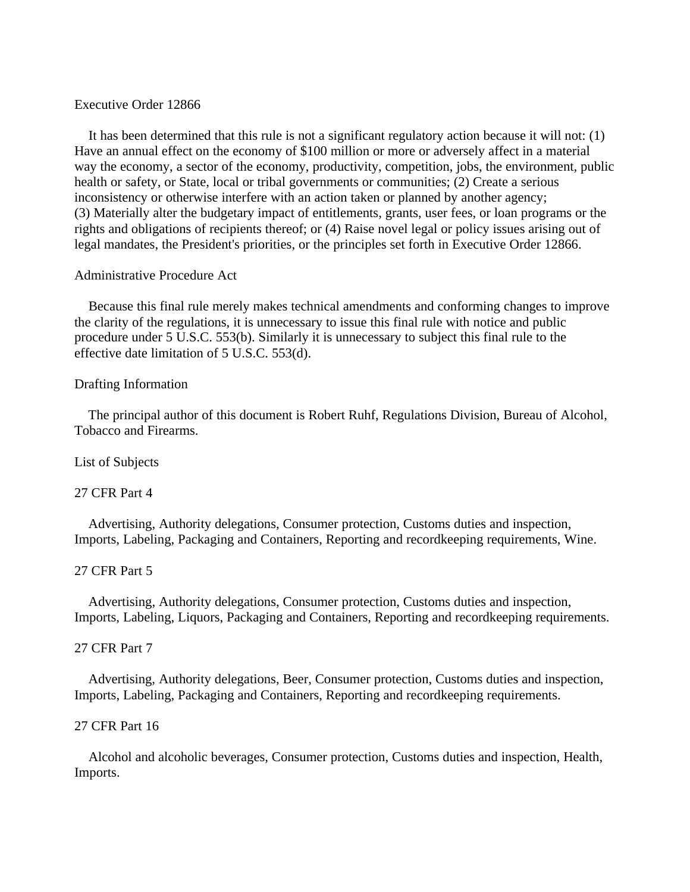#### Executive Order 12866

 It has been determined that this rule is not a significant regulatory action because it will not: (1) Have an annual effect on the economy of \$100 million or more or adversely affect in a material way the economy, a sector of the economy, productivity, competition, jobs, the environment, public health or safety, or State, local or tribal governments or communities; (2) Create a serious inconsistency or otherwise interfere with an action taken or planned by another agency; (3) Materially alter the budgetary impact of entitlements, grants, user fees, or loan programs or the rights and obligations of recipients thereof; or (4) Raise novel legal or policy issues arising out of legal mandates, the President's priorities, or the principles set forth in Executive Order 12866.

### Administrative Procedure Act

 Because this final rule merely makes technical amendments and conforming changes to improve the clarity of the regulations, it is unnecessary to issue this final rule with notice and public procedure under 5 U.S.C. 553(b). Similarly it is unnecessary to subject this final rule to the effective date limitation of 5 U.S.C. 553(d).

# Drafting Information

 The principal author of this document is Robert Ruhf, Regulations Division, Bureau of Alcohol, Tobacco and Firearms.

#### List of Subjects

# 27 CFR Part 4

 Advertising, Authority delegations, Consumer protection, Customs duties and inspection, Imports, Labeling, Packaging and Containers, Reporting and recordkeeping requirements, Wine.

# 27 CFR Part 5

 Advertising, Authority delegations, Consumer protection, Customs duties and inspection, Imports, Labeling, Liquors, Packaging and Containers, Reporting and recordkeeping requirements.

# 27 CFR Part 7

 Advertising, Authority delegations, Beer, Consumer protection, Customs duties and inspection, Imports, Labeling, Packaging and Containers, Reporting and recordkeeping requirements.

# 27 CFR Part 16

 Alcohol and alcoholic beverages, Consumer protection, Customs duties and inspection, Health, Imports.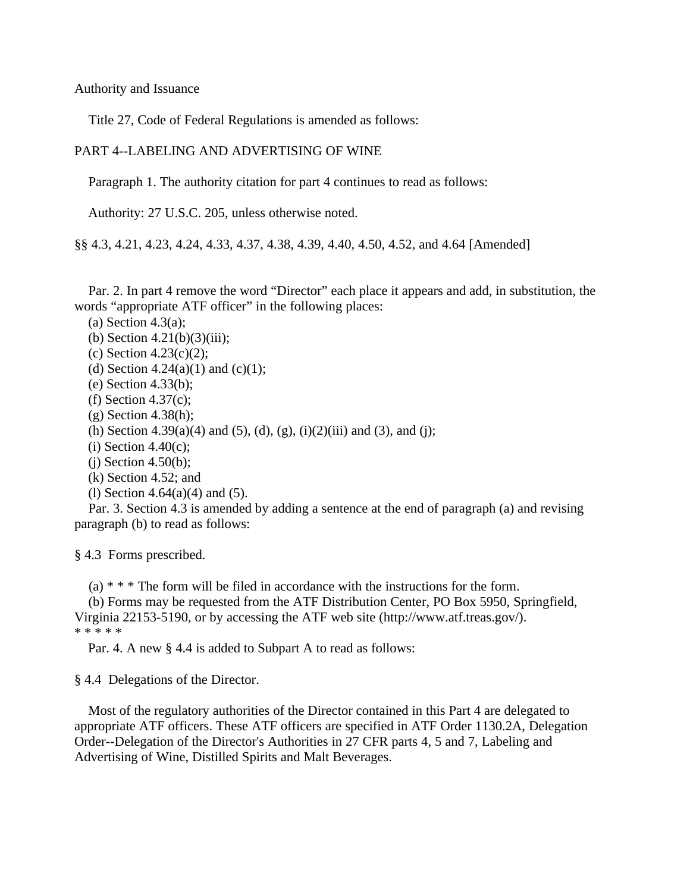Authority and Issuance

Title 27, Code of Federal Regulations is amended as follows:

### PART 4--LABELING AND ADVERTISING OF WINE

Paragraph 1. The authority citation for part 4 continues to read as follows:

Authority: 27 U.S.C. 205, unless otherwise noted.

§§ 4.3, 4.21, 4.23, 4.24, 4.33, 4.37, 4.38, 4.39, 4.40, 4.50, 4.52, and 4.64 [Amended]

 Par. 2. In part 4 remove the word "Director" each place it appears and add, in substitution, the words "appropriate ATF officer" in the following places:

(a) Section 4.3(a);

(b) Section 4.21(b)(3)(iii);

- (c) Section 4.23(c)(2);
- (d) Section 4.24(a)(1) and (c)(1);
- (e) Section 4.33(b);
- (f) Section 4.37(c);
- $(g)$  Section 4.38(h);
- (h) Section 4.39(a)(4) and (5), (d), (g), (i)(2)(iii) and (3), and (j);
- $(i)$  Section 4.40 $(c)$ ;
- $(i)$  Section 4.50(b);
- (k) Section 4.52; and
- (l) Section 4.64(a)(4) and (5).

 Par. 3. Section 4.3 is amended by adding a sentence at the end of paragraph (a) and revising paragraph (b) to read as follows:

§ 4.3 Forms prescribed.

(a) \* \* \* The form will be filed in accordance with the instructions for the form.

 (b) Forms may be requested from the ATF Distribution Center, PO Box 5950, Springfield, Virginia 22153-5190, or by accessing the ATF web site (http://www.atf.treas.gov/). \* \* \* \* \*

Par. 4. A new § 4.4 is added to Subpart A to read as follows:

§ 4.4 Delegations of the Director.

 Most of the regulatory authorities of the Director contained in this Part 4 are delegated to appropriate ATF officers. These ATF officers are specified in ATF Order 1130.2A, Delegation Order--Delegation of the Director's Authorities in 27 CFR parts 4, 5 and 7, Labeling and Advertising of Wine, Distilled Spirits and Malt Beverages.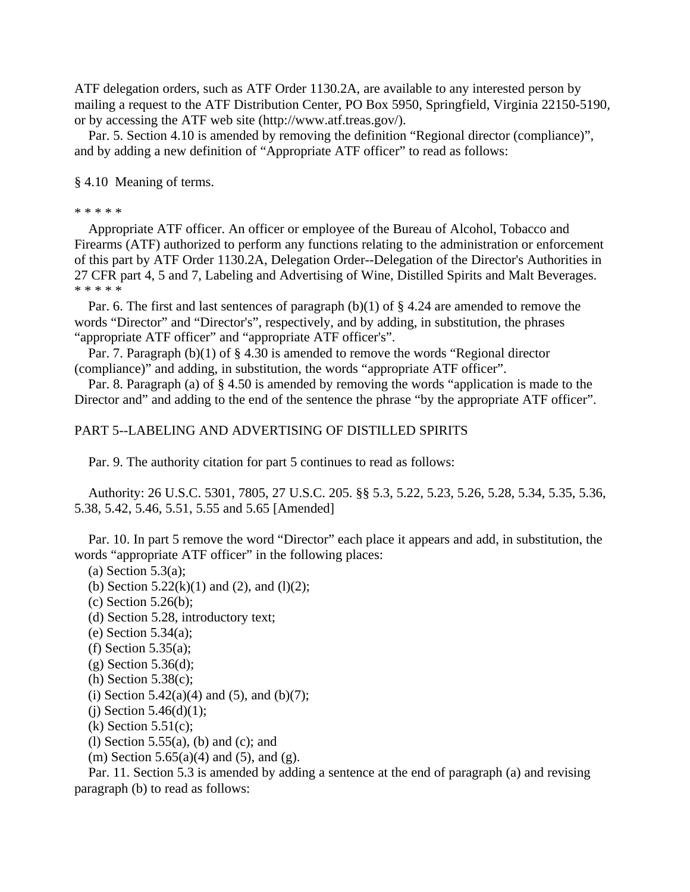ATF delegation orders, such as ATF Order 1130.2A, are available to any interested person by mailing a request to the ATF Distribution Center, PO Box 5950, Springfield, Virginia 22150-5190, or by accessing the ATF web site (http://www.atf.treas.gov/).

 Par. 5. Section 4.10 is amended by removing the definition "Regional director (compliance)", and by adding a new definition of "Appropriate ATF officer" to read as follows:

§ 4.10 Meaning of terms.

\* \* \* \* \*

 Appropriate ATF officer. An officer or employee of the Bureau of Alcohol, Tobacco and Firearms (ATF) authorized to perform any functions relating to the administration or enforcement of this part by ATF Order 1130.2A, Delegation Order--Delegation of the Director's Authorities in 27 CFR part 4, 5 and 7, Labeling and Advertising of Wine, Distilled Spirits and Malt Beverages. \* \* \* \* \*

 Par. 6. The first and last sentences of paragraph (b)(1) of § 4.24 are amended to remove the words "Director" and "Director's", respectively, and by adding, in substitution, the phrases "appropriate ATF officer" and "appropriate ATF officer's".

 Par. 7. Paragraph (b)(1) of § 4.30 is amended to remove the words "Regional director (compliance)" and adding, in substitution, the words "appropriate ATF officer".

 Par. 8. Paragraph (a) of § 4.50 is amended by removing the words "application is made to the Director and" and adding to the end of the sentence the phrase "by the appropriate ATF officer".

### PART 5--LABELING AND ADVERTISING OF DISTILLED SPIRITS

Par. 9. The authority citation for part 5 continues to read as follows:

 Authority: 26 U.S.C. 5301, 7805, 27 U.S.C. 205. §§ 5.3, 5.22, 5.23, 5.26, 5.28, 5.34, 5.35, 5.36, 5.38, 5.42, 5.46, 5.51, 5.55 and 5.65 [Amended]

 Par. 10. In part 5 remove the word "Director" each place it appears and add, in substitution, the words "appropriate ATF officer" in the following places:

(a) Section  $5.3(a)$ ;

(b) Section  $5.22(k)(1)$  and  $(2)$ , and  $(l)(2)$ ;

- (c) Section 5.26(b);
- (d) Section 5.28, introductory text;
- (e) Section 5.34(a);
- (f) Section  $5.35(a)$ ;
- $(g)$  Section 5.36(d);
- (h) Section 5.38(c);
- (i) Section  $5.42(a)(4)$  and  $(5)$ , and  $(b)(7)$ ;
- (i) Section  $5.46(d)(1)$ ;
- $(k)$  Section 5.51 $(c)$ ;
- (1) Section  $5.55(a)$ , (b) and (c); and

(m) Section 5.65(a)(4) and (5), and (g).

 Par. 11. Section 5.3 is amended by adding a sentence at the end of paragraph (a) and revising paragraph (b) to read as follows: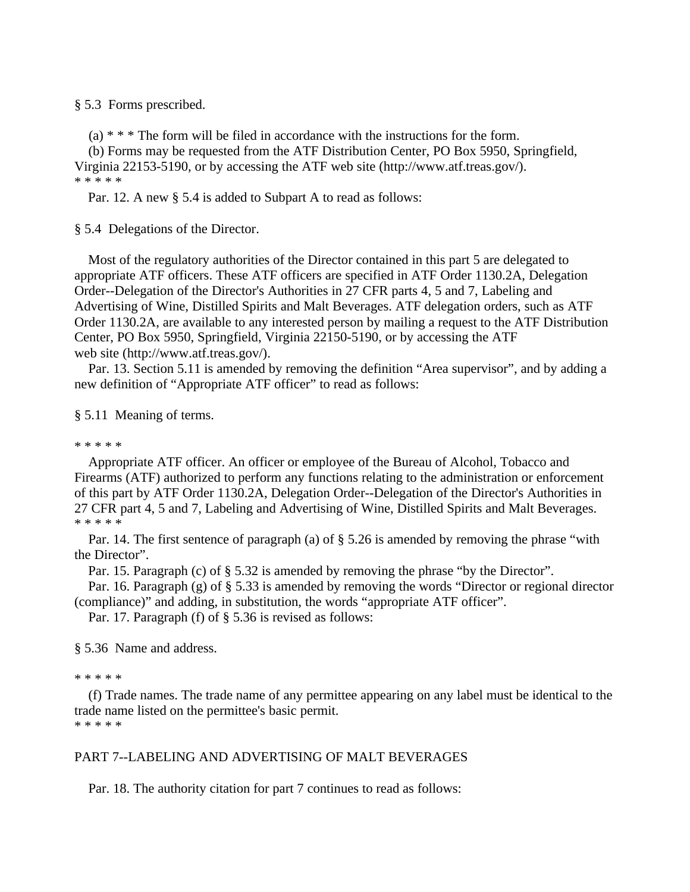#### § 5.3 Forms prescribed.

 $(a)$  \* \* \* The form will be filed in accordance with the instructions for the form.

 (b) Forms may be requested from the ATF Distribution Center, PO Box 5950, Springfield, Virginia 22153-5190, or by accessing the ATF web site (http://www.atf.treas.gov/). \* \* \* \* \*

Par. 12. A new § 5.4 is added to Subpart A to read as follows:

§ 5.4 Delegations of the Director.

 Most of the regulatory authorities of the Director contained in this part 5 are delegated to appropriate ATF officers. These ATF officers are specified in ATF Order 1130.2A, Delegation Order--Delegation of the Director's Authorities in 27 CFR parts 4, 5 and 7, Labeling and Advertising of Wine, Distilled Spirits and Malt Beverages. ATF delegation orders, such as ATF Order 1130.2A, are available to any interested person by mailing a request to the ATF Distribution Center, PO Box 5950, Springfield, Virginia 22150-5190, or by accessing the ATF web site (http://www.atf.treas.gov/).

 Par. 13. Section 5.11 is amended by removing the definition "Area supervisor", and by adding a new definition of "Appropriate ATF officer" to read as follows:

#### § 5.11 Meaning of terms.

#### \* \* \* \* \*

 Appropriate ATF officer. An officer or employee of the Bureau of Alcohol, Tobacco and Firearms (ATF) authorized to perform any functions relating to the administration or enforcement of this part by ATF Order 1130.2A, Delegation Order--Delegation of the Director's Authorities in 27 CFR part 4, 5 and 7, Labeling and Advertising of Wine, Distilled Spirits and Malt Beverages. \* \* \* \* \*

 Par. 14. The first sentence of paragraph (a) of § 5.26 is amended by removing the phrase "with the Director".

Par. 15. Paragraph (c) of § 5.32 is amended by removing the phrase "by the Director".

 Par. 16. Paragraph (g) of § 5.33 is amended by removing the words "Director or regional director (compliance)" and adding, in substitution, the words "appropriate ATF officer".

Par. 17. Paragraph (f) of § 5.36 is revised as follows:

§ 5.36 Name and address.

#### \* \* \* \* \*

 (f) Trade names. The trade name of any permittee appearing on any label must be identical to the trade name listed on the permittee's basic permit. \* \* \* \* \*

# PART 7--LABELING AND ADVERTISING OF MALT BEVERAGES

Par. 18. The authority citation for part 7 continues to read as follows: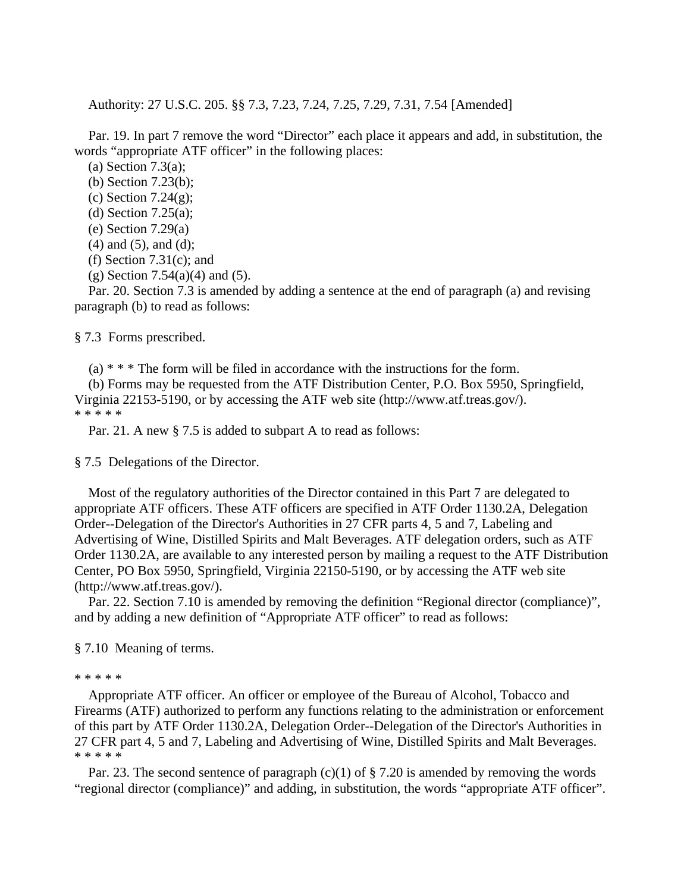Authority: 27 U.S.C. 205. §§ 7.3, 7.23, 7.24, 7.25, 7.29, 7.31, 7.54 [Amended]

 Par. 19. In part 7 remove the word "Director" each place it appears and add, in substitution, the words "appropriate ATF officer" in the following places:

(a) Section 7.3(a);

- (b) Section 7.23(b);
- (c) Section 7.24 $(g)$ ;
- (d) Section 7.25(a);
- (e) Section 7.29(a)
- $(4)$  and  $(5)$ , and  $(d)$ ;
- (f) Section  $7.31(c)$ ; and
- $(g)$  Section 7.54(a)(4) and (5).

 Par. 20. Section 7.3 is amended by adding a sentence at the end of paragraph (a) and revising paragraph (b) to read as follows:

§ 7.3 Forms prescribed.

 $(a)$  \* \* \* The form will be filed in accordance with the instructions for the form.

 (b) Forms may be requested from the ATF Distribution Center, P.O. Box 5950, Springfield, Virginia 22153-5190, or by accessing the ATF web site (http://www.atf.treas.gov/). \* \* \* \* \*

Par. 21. A new § 7.5 is added to subpart A to read as follows:

#### § 7.5 Delegations of the Director.

 Most of the regulatory authorities of the Director contained in this Part 7 are delegated to appropriate ATF officers. These ATF officers are specified in ATF Order 1130.2A, Delegation Order--Delegation of the Director's Authorities in 27 CFR parts 4, 5 and 7, Labeling and Advertising of Wine, Distilled Spirits and Malt Beverages. ATF delegation orders, such as ATF Order 1130.2A, are available to any interested person by mailing a request to the ATF Distribution Center, PO Box 5950, Springfield, Virginia 22150-5190, or by accessing the ATF web site (http://www.atf.treas.gov/).

 Par. 22. Section 7.10 is amended by removing the definition "Regional director (compliance)", and by adding a new definition of "Appropriate ATF officer" to read as follows:

§ 7.10 Meaning of terms.

#### \* \* \* \* \*

 Appropriate ATF officer. An officer or employee of the Bureau of Alcohol, Tobacco and Firearms (ATF) authorized to perform any functions relating to the administration or enforcement of this part by ATF Order 1130.2A, Delegation Order--Delegation of the Director's Authorities in 27 CFR part 4, 5 and 7, Labeling and Advertising of Wine, Distilled Spirits and Malt Beverages. \* \* \* \* \*

Par. 23. The second sentence of paragraph (c)(1) of  $\S$  7.20 is amended by removing the words "regional director (compliance)" and adding, in substitution, the words "appropriate ATF officer".